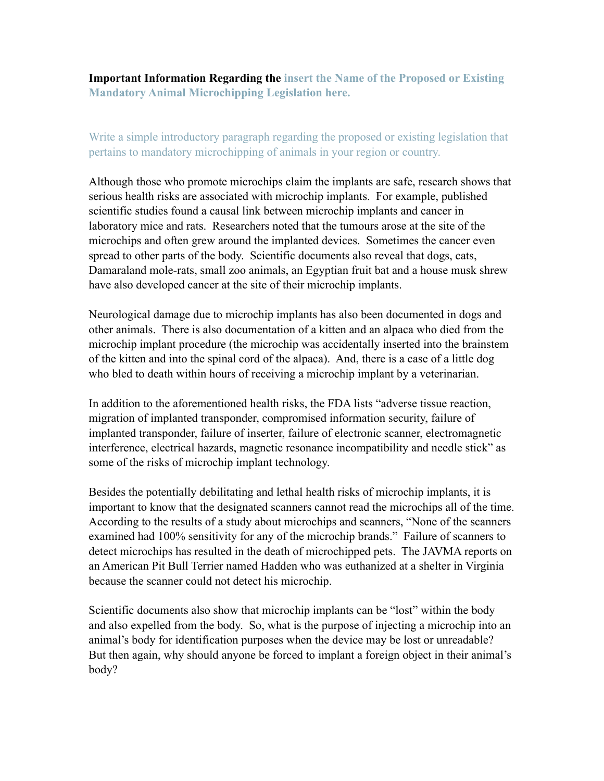**Important Information Regarding the insert the Name of the Proposed or Existing Mandatory Animal Microchipping Legislation here.**

Write a simple introductory paragraph regarding the proposed or existing legislation that pertains to mandatory microchipping of animals in your region or country.

Although those who promote microchips claim the implants are safe, research shows that serious health risks are associated with microchip implants. For example, published scientific studies found a causal link between microchip implants and cancer in laboratory mice and rats. Researchers noted that the tumours arose at the site of the microchips and often grew around the implanted devices. Sometimes the cancer even spread to other parts of the body. Scientific documents also reveal that dogs, cats, Damaraland mole-rats, small zoo animals, an Egyptian fruit bat and a house musk shrew have also developed cancer at the site of their microchip implants.

Neurological damage due to microchip implants has also been documented in dogs and other animals. There is also documentation of a kitten and an alpaca who died from the microchip implant procedure (the microchip was accidentally inserted into the brainstem of the kitten and into the spinal cord of the alpaca). And, there is a case of a little dog who bled to death within hours of receiving a microchip implant by a veterinarian.

In addition to the aforementioned health risks, the FDA lists "adverse tissue reaction, migration of implanted transponder, compromised information security, failure of implanted transponder, failure of inserter, failure of electronic scanner, electromagnetic interference, electrical hazards, magnetic resonance incompatibility and needle stick" as some of the risks of microchip implant technology.

Besides the potentially debilitating and lethal health risks of microchip implants, it is important to know that the designated scanners cannot read the microchips all of the time. According to the results of a study about microchips and scanners, "None of the scanners examined had 100% sensitivity for any of the microchip brands." Failure of scanners to detect microchips has resulted in the death of microchipped pets. The JAVMA reports on an American Pit Bull Terrier named Hadden who was euthanized at a shelter in Virginia because the scanner could not detect his microchip.

Scientific documents also show that microchip implants can be "lost" within the body and also expelled from the body. So, what is the purpose of injecting a microchip into an animal's body for identification purposes when the device may be lost or unreadable? But then again, why should anyone be forced to implant a foreign object in their animal's body?